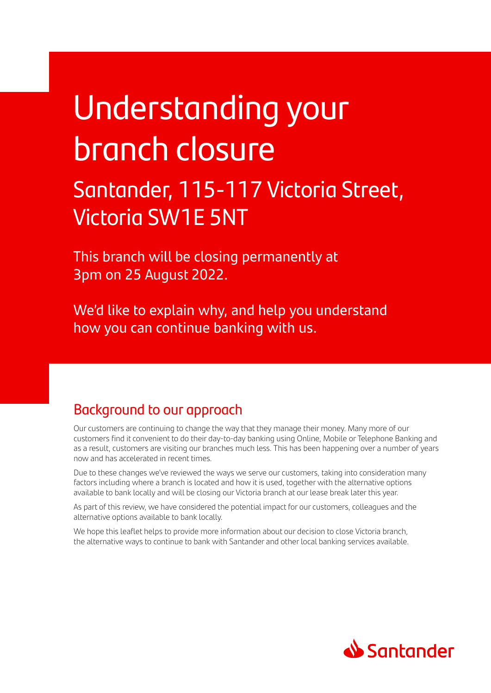# Understanding your branch closure

## Santander, 115-117 Victoria Street, Victoria SW1E 5NT

This branch will be closing permanently at 3pm on 25 August 2022.

We'd like to explain why, and help you understand how you can continue banking with us.

### Background to our approach

Our customers are continuing to change the way that they manage their money. Many more of our customers find it convenient to do their day-to-day banking using Online, Mobile or Telephone Banking and as a result, customers are visiting our branches much less. This has been happening over a number of years now and has accelerated in recent times.

Due to these changes we've reviewed the ways we serve our customers, taking into consideration many factors including where a branch is located and how it is used, together with the alternative options available to bank locally and will be closing our Victoria branch at our lease break later this year.

As part of this review, we have considered the potential impact for our customers, colleagues and the alternative options available to bank locally.

We hope this leaflet helps to provide more information about our decision to close Victoria branch, the alternative ways to continue to bank with Santander and other local banking services available.

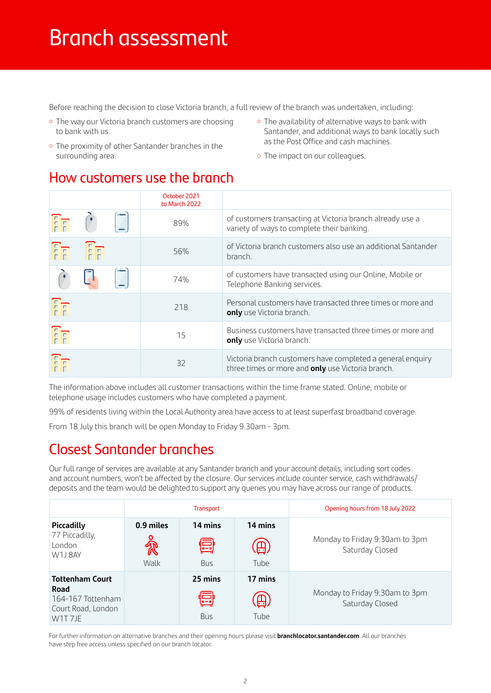### Branch assessment

Before reaching the decision to close Victoria branch, a full review of the branch was undertaken, including:

- The way our Victoria branch customers are choosing to bank with us.
- The proximity of other Santander branches in the surrounding area.
- The availability of alternative ways to bank with Santander, and additional ways to bank locally such as the Post Office and cash machines.
- The impact on our colleagues.

### How customers use the branch

|                                             |       | October 2021<br>to March 2022 |                                                                                                                 |
|---------------------------------------------|-------|-------------------------------|-----------------------------------------------------------------------------------------------------------------|
| $\begin{bmatrix} 1 \\ 1 \\ 1 \end{bmatrix}$ |       | 89%                           | of customers transacting at Victoria branch already use a<br>variety of ways to complete their banking.         |
|                                             | Fr Fr | 56%                           | of Victoria branch customers also use an additional Santander<br>branch.                                        |
|                                             |       | 74%                           | of customers have transacted using our Online, Mobile or<br>Telephone Banking services.                         |
| FF                                          |       | 218                           | Personal customers have transacted three times or more and<br>only use Victoria branch.                         |
| FF                                          |       | 15                            | Business customers have transacted three times or more and<br>only use Victoria branch.                         |
| FF                                          |       | 32                            | Victoria branch customers have completed a general enquiry<br>three times or more and only use Victoria branch. |

The information above includes all customer transactions within the time frame stated. Online, mobile or telephone usage includes customers who have completed a payment.

99% of residents living within the Local Authority area have access to at least superfast broadband coverage.

From 18 July this branch will be open Monday to Friday 9.30am - 3pm.

### Closest Santander branches

Our full range of services are available at any Santander branch and your account details, including sort codes and account numbers, won't be affected by the closure. Our services include counter service, cash withdrawals/ deposits and the team would be delighted to support any queries you may have across our range of products.

|                                                                                                               |                   | <b>Transport</b>           |                                 | Opening hours from 18 July 2022                   |  |  |
|---------------------------------------------------------------------------------------------------------------|-------------------|----------------------------|---------------------------------|---------------------------------------------------|--|--|
| Piccadilly<br>77 Piccadilly,<br>London<br>W1J8AY                                                              | 0.9 miles<br>Walk | 14 mins<br>回<br><b>Bus</b> | 14 mins<br>Tube                 | Monday to Friday 9:30am to 3pm<br>Saturday Closed |  |  |
| <b>Tottenham Court</b><br>Road<br>164-167 Tottenham<br>Court Road, London<br>W <sub>1</sub> T <sub>7</sub> JE |                   | 25 mins<br>冒<br><b>Bus</b> | 17 mins<br>$\boxplus$ .<br>Tube | Monday to Friday 9:30am to 3pm<br>Saturday Closed |  |  |

For further information on alternative branches and their opening hours please visit **[branchlocator.santander.com](http://branchlocator.santander.com)**. All our branches have step free access unless specified on our branch locator.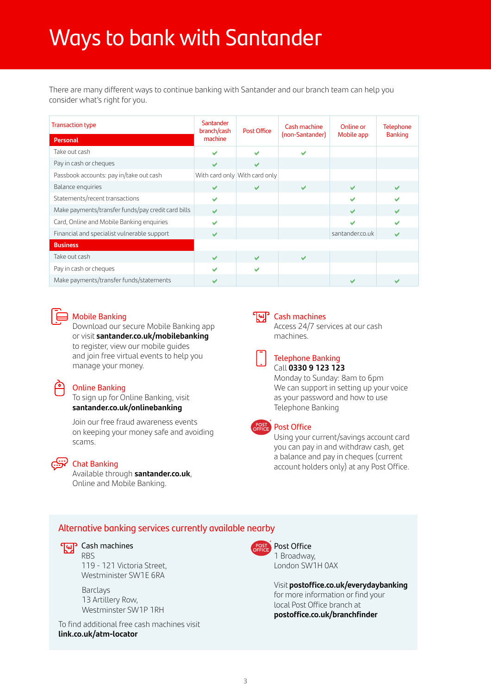## Ways to bank with Santander

There are many different ways to continue banking with Santander and our branch team can help you consider what's right for you.

| <b>Transaction type</b><br><b>Personal</b>         | Santander<br>branch/cash<br>machine | <b>Post Office</b>            | Cash machine<br>(non-Santander) | Online or<br>Mobile app | <b>Telephone</b><br><b>Banking</b> |
|----------------------------------------------------|-------------------------------------|-------------------------------|---------------------------------|-------------------------|------------------------------------|
| Take out cash                                      | ✔                                   | ້                             |                                 |                         |                                    |
| Pay in cash or cheques                             |                                     | ✔                             |                                 |                         |                                    |
| Passbook accounts: pay in/take out cash            |                                     | With card only With card only |                                 |                         |                                    |
| Balance enquiries                                  | $\checkmark$                        | $\checkmark$                  | ✔                               | $\checkmark$            | $\checkmark$                       |
| Statements/recent transactions                     | ✔                                   |                               |                                 |                         |                                    |
| Make payments/transfer funds/pay credit card bills | $\overline{\mathbf{v}}$             |                               |                                 | $\checkmark$            | $\checkmark$                       |
| Card, Online and Mobile Banking enquiries          |                                     |                               |                                 | v                       |                                    |
| Financial and specialist vulnerable support        | $\checkmark$                        |                               |                                 | santander.co.uk         |                                    |
| <b>Business</b>                                    |                                     |                               |                                 |                         |                                    |
| Take out cash                                      | $\overline{\mathbf{v}}$             | $\checkmark$                  | $\checkmark$                    |                         |                                    |
| Pay in cash or cheques                             |                                     | $\checkmark$                  |                                 |                         |                                    |
| Make payments/transfer funds/statements            |                                     |                               |                                 | ້                       |                                    |



#### Mobile Banking

 Download our secure Mobile Banking app or visit **[santander.co.uk/mobilebanking](http://santander.co.uk/mobilebanking)**  to register, view our mobile guides and join free virtual events to help you manage your money.

#### Online Banking

 To sign up for Online Banking, visit **[santander.co.uk/onlinebanking](http://santander.co.uk/onlinebanking)**

Join our free fraud awareness events on keeping your money safe and avoiding scams.



#### Chat Banking

Available through **[santander.co.uk](http://santander.co.uk)**, Online and Mobile Banking.

#### Cash machines

 Access 24/7 services at our cash machines.



#### Telephone Banking Call **0330 9 123 123**

Monday to Sunday: 8am to 6pm We can support in setting up your voice as your password and how to use Telephone Banking



#### **POST** Post Office

 Using your current/savings account card you can pay in and withdraw cash, get a balance and pay in cheques (current account holders only) at any Post Office.

#### Alternative banking services currently available nearby

#### Tup Cash machines

RBS 119 - 121 Victoria Street, Westminister SW1E 6RA

 Barclays 13 Artillery Row, Westminster SW1P 1RH

To find additional free cash machines visit **[link.co.uk/atm-locator](http://link.co.uk/atm-locator)**



Post Office 1 Broadway, London SW1H 0AX

 Visit **[postoffice.co.uk/everydaybanking](http://postoffice.co.uk/everydaybanking)** for more information or find your local Post Office branch at **[postoffice.co.uk/branchfinder](http://postoffice.co.uk/branchfinder)**